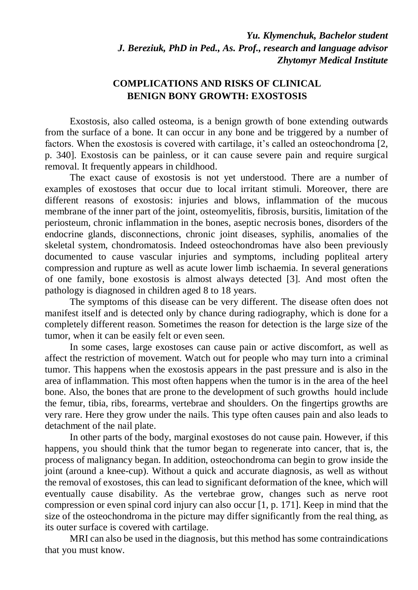*Yu. Klymenchuk, Bachelor student J. Bereziuk, PhD in Ped., As. Prof., research and language advisor Zhytomyr Medical Institute*

## **COMPLICATIONS AND RISKS OF CLINICAL BENIGN BONY GROWTH: EXOSTOSIS**

Exostosis, also called osteoma, is a benign growth of bone extending outwards from the surface of a bone. It can occur in any bone and be triggered by a number of factors. When the exostosis is covered with cartilage, it's called an osteochondroma [2, p. 340]. Exostosis can be painless, or it can cause severe pain and require surgical removal. It frequently appears in childhood.

The exact cause of exostosis is not yet understood. There are a number of examples of exostoses that occur due to local irritant stimuli. Moreover, there are different reasons of exostosis: injuries and blows, inflammation of the mucous membrane of the inner part of the joint, osteomyelitis, fibrosis, bursitis, limitation of the periosteum, chronic inflammation in the bones, aseptic necrosis bones, disorders of the endocrine glands, disconnections, chronic joint diseases, syphilis, anomalies of the skeletal system, chondromatosis. Indeed osteochondromas have also been previously documented to cause vascular injuries and symptoms, including popliteal artery compression and rupture as well as acute lower limb ischaemia. In several generations of one family, bone exostosis is almost always detected [3]. And most often the pathology is diagnosed in children aged 8 to 18 years.

The symptoms of this disease can be very different. The disease often does not manifest itself and is detected only by chance during radiography, which is done for a completely different reason. Sometimes the reason for detection is the large size of the tumor, when it can be easily felt or even seen.

In some cases, large exostoses can cause pain or active discomfort, as well as affect the restriction of movement. Watch out for people who may turn into a criminal tumor. This happens when the exostosis appears in the past pressure and is also in the area of inflammation. This most often happens when the tumor is in the area of the heel bone. Also, the bones that are prone to the development of such growths hould include the femur, tibia, ribs, forearms, vertebrae and shoulders. On the fingertips growths are very rare. Here they grow under the nails. This type often causes pain and also leads to detachment of the nail plate.

In other parts of the body, marginal exostoses do not cause pain. However, if this happens, you should think that the tumor began to regenerate into cancer, that is, the process of malignancy began. In addition, osteochondroma can begin to grow inside the joint (around a knee-cup). Without a quick and accurate diagnosis, as well as without the removal of exostoses, this can lead to significant deformation of the knee, which will eventually cause disability. As the vertebrae grow, changes such as nerve root compression or even spinal cord injury can also occur [1, p. 171]. Keep in mind that the size of the osteochondroma in the picture may differ significantly from the real thing, as its outer surface is covered with cartilage.

MRI can also be used in the diagnosis, but this method has some contraindications that you must know.